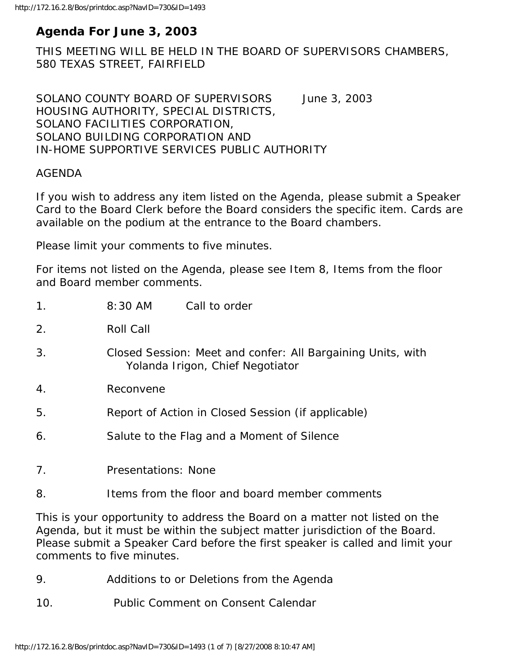# **Agenda For June 3, 2003**

THIS MEETING WILL BE HELD IN THE BOARD OF SUPERVISORS CHAMBERS, 580 TEXAS STREET, FAIRFIELD

SOLANO COUNTY BOARD OF SUPERVISORS June 3, 2003 HOUSING AUTHORITY, SPECIAL DISTRICTS, SOLANO FACILITIES CORPORATION, SOLANO BUILDING CORPORATION AND IN-HOME SUPPORTIVE SERVICES PUBLIC AUTHORITY

#### AGENDA

If you wish to address any item listed on the Agenda, please submit a Speaker Card to the Board Clerk before the Board considers the specific item. Cards are available on the podium at the entrance to the Board chambers.

Please limit your comments to five minutes.

For items not listed on the Agenda, please see Item 8, Items from the floor and Board member comments.

| 1 <sub>1</sub>   | 8:30 AM                                                                                         | Call to order                              |
|------------------|-------------------------------------------------------------------------------------------------|--------------------------------------------|
| 2.               | Roll Call                                                                                       |                                            |
| 3.               | Closed Session: Meet and confer: All Bargaining Units, with<br>Yolanda Irigon, Chief Negotiator |                                            |
| $\overline{4}$ . | Reconvene                                                                                       |                                            |
| 5.               | Report of Action in Closed Session (if applicable)                                              |                                            |
| 6.               |                                                                                                 | Salute to the Flag and a Moment of Silence |
| 7.               | Presentations: None                                                                             |                                            |
| 8.               | Items from the floor and board member comments                                                  |                                            |

This is your opportunity to address the Board on a matter not listed on the Agenda, but it must be within the subject matter jurisdiction of the Board. Please submit a Speaker Card before the first speaker is called and limit your comments to five minutes.

- 9. Additions to or Deletions from the Agenda
- 10. Public Comment on Consent Calendar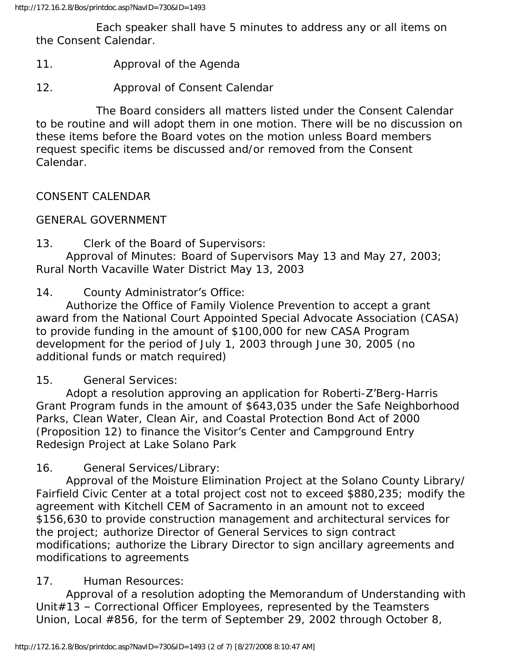Each speaker shall have 5 minutes to address any or all items on the Consent Calendar.

- 11. Approval of the Agenda
- 12. Approval of Consent Calendar

 The Board considers all matters listed under the Consent Calendar to be routine and will adopt them in one motion. There will be no discussion on these items before the Board votes on the motion unless Board members request specific items be discussed and/or removed from the Consent Calendar.

CONSENT CALENDAR

GENERAL GOVERNMENT

13. Clerk of the Board of Supervisors:

 Approval of Minutes: Board of Supervisors May 13 and May 27, 2003; Rural North Vacaville Water District May 13, 2003

14. County Administrator's Office:

 Authorize the Office of Family Violence Prevention to accept a grant award from the National Court Appointed Special Advocate Association (CASA) to provide funding in the amount of \$100,000 for new CASA Program development for the period of July 1, 2003 through June 30, 2005 (no additional funds or match required)

## 15. General Services:

 Adopt a resolution approving an application for Roberti-Z'Berg-Harris Grant Program funds in the amount of \$643,035 under the Safe Neighborhood Parks, Clean Water, Clean Air, and Coastal Protection Bond Act of 2000 (Proposition 12) to finance the Visitor's Center and Campground Entry Redesign Project at Lake Solano Park

16. General Services/Library:

 Approval of the Moisture Elimination Project at the Solano County Library/ Fairfield Civic Center at a total project cost not to exceed \$880,235; modify the agreement with Kitchell CEM of Sacramento in an amount not to exceed \$156,630 to provide construction management and architectural services for the project; authorize Director of General Services to sign contract modifications; authorize the Library Director to sign ancillary agreements and modifications to agreements

# 17. Human Resources:

 Approval of a resolution adopting the Memorandum of Understanding with Unit#13 – Correctional Officer Employees, represented by the Teamsters Union, Local #856, for the term of September 29, 2002 through October 8,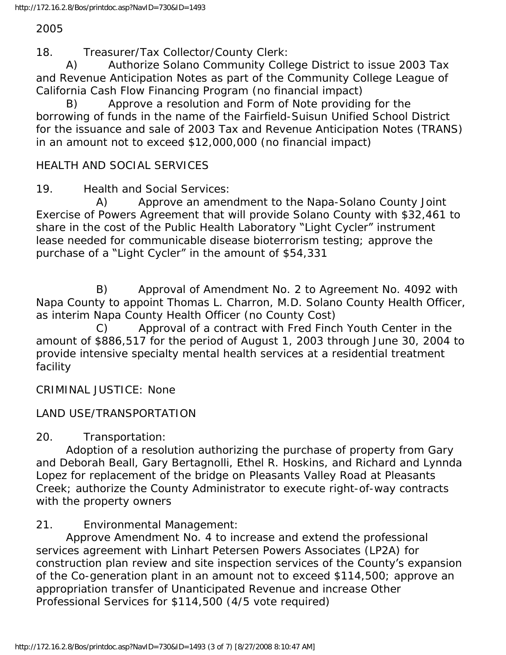#### 2005

18. Treasurer/Tax Collector/County Clerk:

 A) Authorize Solano Community College District to issue 2003 Tax and Revenue Anticipation Notes as part of the Community College League of California Cash Flow Financing Program (no financial impact)

 B) Approve a resolution and Form of Note providing for the borrowing of funds in the name of the Fairfield-Suisun Unified School District for the issuance and sale of 2003 Tax and Revenue Anticipation Notes (TRANS) in an amount not to exceed \$12,000,000 (no financial impact)

#### HEALTH AND SOCIAL SERVICES

19. Health and Social Services:

 A) Approve an amendment to the Napa-Solano County Joint Exercise of Powers Agreement that will provide Solano County with \$32,461 to share in the cost of the Public Health Laboratory "Light Cycler" instrument lease needed for communicable disease bioterrorism testing; approve the purchase of a "Light Cycler" in the amount of \$54,331

 B) Approval of Amendment No. 2 to Agreement No. 4092 with Napa County to appoint Thomas L. Charron, M.D. Solano County Health Officer, as interim Napa County Health Officer (no County Cost)

 C) Approval of a contract with Fred Finch Youth Center in the amount of \$886,517 for the period of August 1, 2003 through June 30, 2004 to provide intensive specialty mental health services at a residential treatment facility

CRIMINAL JUSTICE: None

## LAND USE/TRANSPORTATION

20. Transportation:

 Adoption of a resolution authorizing the purchase of property from Gary and Deborah Beall, Gary Bertagnolli, Ethel R. Hoskins, and Richard and Lynnda Lopez for replacement of the bridge on Pleasants Valley Road at Pleasants Creek; authorize the County Administrator to execute right-of-way contracts with the property owners

## 21. Environmental Management:

 Approve Amendment No. 4 to increase and extend the professional services agreement with Linhart Petersen Powers Associates (LP2A) for construction plan review and site inspection services of the County's expansion of the Co-generation plant in an amount not to exceed \$114,500; approve an appropriation transfer of Unanticipated Revenue and increase Other Professional Services for \$114,500 (4/5 vote required)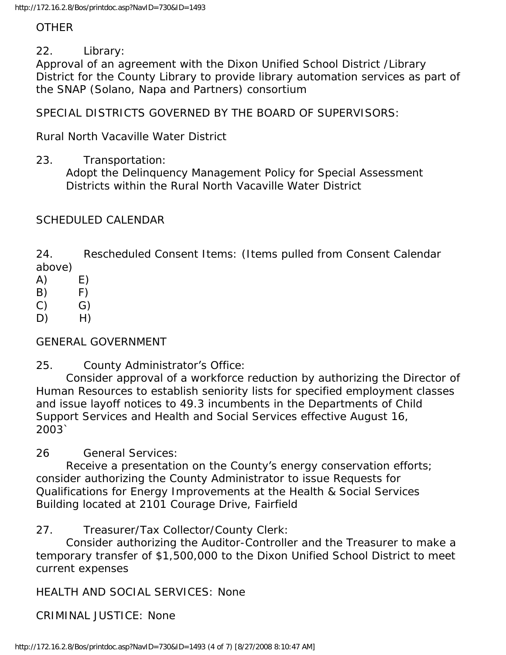## **OTHER**

22. Library:

Approval of an agreement with the Dixon Unified School District /Library District for the County Library to provide library automation services as part of the SNAP (Solano, Napa and Partners) consortium

SPECIAL DISTRICTS GOVERNED BY THE BOARD OF SUPERVISORS:

Rural North Vacaville Water District

23. Transportation:

 Adopt the Delinquency Management Policy for Special Assessment Districts within the Rural North Vacaville Water District

# SCHEDULED CALENDAR

24. Rescheduled Consent Items: (Items pulled from Consent Calendar above)

- $(A)$   $E)$
- $(B)$  F)
- $(C)$   $G)$
- $D)$  H)

GENERAL GOVERNMENT

25. County Administrator's Office:

 Consider approval of a workforce reduction by authorizing the Director of Human Resources to establish seniority lists for specified employment classes and issue layoff notices to 49.3 incumbents in the Departments of Child Support Services and Health and Social Services effective August 16, 2003`

26 General Services:

 Receive a presentation on the County's energy conservation efforts; consider authorizing the County Administrator to issue Requests for Qualifications for Energy Improvements at the Health & Social Services Building located at 2101 Courage Drive, Fairfield

27. Treasurer/Tax Collector/County Clerk:

 Consider authorizing the Auditor-Controller and the Treasurer to make a temporary transfer of \$1,500,000 to the Dixon Unified School District to meet current expenses

HEALTH AND SOCIAL SERVICES: None

CRIMINAL JUSTICE: None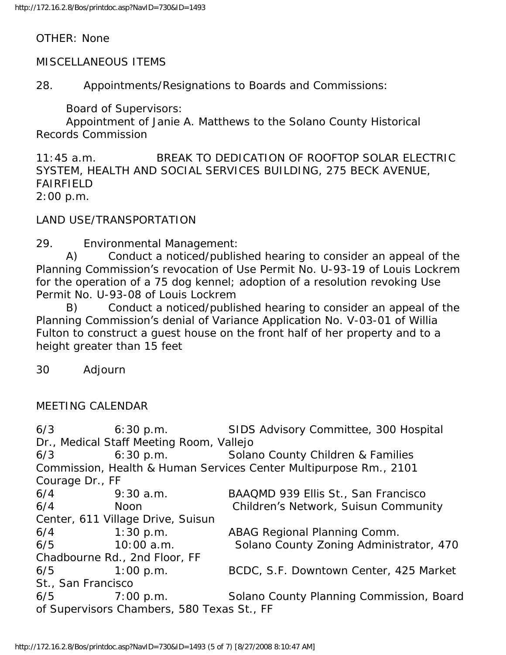OTHER: None

MISCELLANEOUS ITEMS

28. Appointments/Resignations to Boards and Commissions:

Board of Supervisors:

 Appointment of Janie A. Matthews to the Solano County Historical Records Commission

11:45 a.m. BREAK TO DEDICATION OF ROOFTOP SOLAR ELECTRIC SYSTEM, HEALTH AND SOCIAL SERVICES BUILDING, 275 BECK AVENUE, FAIRFIELD 2:00 p.m.

LAND USE/TRANSPORTATION

29. Environmental Management:

 A) Conduct a noticed/published hearing to consider an appeal of the Planning Commission's revocation of Use Permit No. U-93-19 of Louis Lockrem for the operation of a 75 dog kennel; adoption of a resolution revoking Use Permit No. U-93-08 of Louis Lockrem

 B) Conduct a noticed/published hearing to consider an appeal of the Planning Commission's denial of Variance Application No. V-03-01 of Willia Fulton to construct a guest house on the front half of her property and to a height greater than 15 feet

30 Adjourn

#### MEETING CALENDAR

6/3 6:30 p.m. SIDS Advisory Committee, 300 Hospital Dr., Medical Staff Meeting Room, Vallejo 6/3 6:30 p.m. Solano County Children & Families Commission, Health & Human Services Center Multipurpose Rm., 2101 Courage Dr., FF 6/4 9:30 a.m. BAAQMD 939 Ellis St., San Francisco 6/4 Noon Children's Network, Suisun Community Center, 611 Village Drive, Suisun 6/4 1:30 p.m. ABAG Regional Planning Comm. 6/5 10:00 a.m. Solano County Zoning Administrator, 470 Chadbourne Rd., 2nd Floor, FF 6/5 1:00 p.m. BCDC, S.F. Downtown Center, 425 Market St., San Francisco 6/5 7:00 p.m. Solano County Planning Commission, Board of Supervisors Chambers, 580 Texas St., FF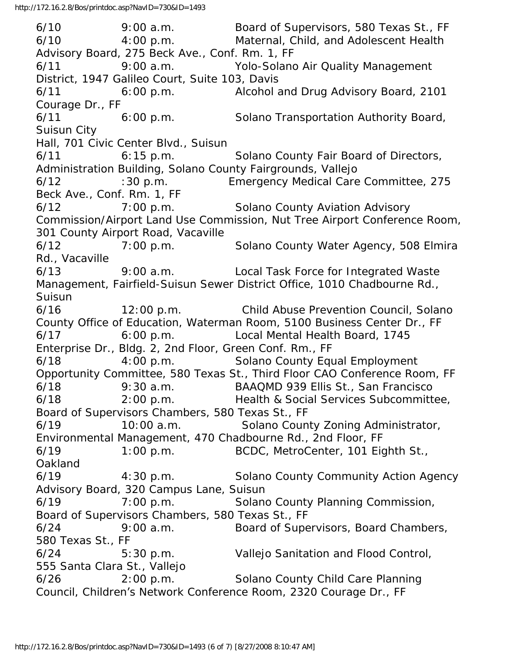6/10 9:00 a.m. Board of Supervisors, 580 Texas St., FF 6/10 4:00 p.m. Maternal, Child, and Adolescent Health Advisory Board, 275 Beck Ave., Conf. Rm. 1, FF 6/11 9:00 a.m. Yolo-Solano Air Quality Management District, 1947 Galileo Court, Suite 103, Davis 6/11 6:00 p.m. Alcohol and Drug Advisory Board, 2101 Courage Dr., FF 6/11 6:00 p.m. Solano Transportation Authority Board, Suisun City Hall, 701 Civic Center Blvd., Suisun 6/11 6:15 p.m. Solano County Fair Board of Directors, Administration Building, Solano County Fairgrounds, Vallejo 6/12 :30 p.m. Emergency Medical Care Committee, 275 Beck Ave., Conf. Rm. 1, FF 6/12 7:00 p.m. Solano County Aviation Advisory Commission/Airport Land Use Commission, Nut Tree Airport Conference Room, 301 County Airport Road, Vacaville 6/12 7:00 p.m. Solano County Water Agency, 508 Elmira Rd., Vacaville 6/13 9:00 a.m. Local Task Force for Integrated Waste Management, Fairfield-Suisun Sewer District Office, 1010 Chadbourne Rd., Suisun 6/16 12:00 p.m. Child Abuse Prevention Council, Solano County Office of Education, Waterman Room, 5100 Business Center Dr., FF 6/17 6:00 p.m. Local Mental Health Board, 1745 Enterprise Dr., Bldg. 2, 2nd Floor, Green Conf. Rm., FF 6/18 4:00 p.m. Solano County Equal Employment Opportunity Committee, 580 Texas St., Third Floor CAO Conference Room, FF 6/18 9:30 a.m. BAAQMD 939 Ellis St., San Francisco 6/18 2:00 p.m. Health & Social Services Subcommittee, Board of Supervisors Chambers, 580 Texas St., FF 6/19 10:00 a.m. Solano County Zoning Administrator, Environmental Management, 470 Chadbourne Rd., 2nd Floor, FF 6/19 1:00 p.m. BCDC, MetroCenter, 101 Eighth St., Oakland 6/19 4:30 p.m. Solano County Community Action Agency Advisory Board, 320 Campus Lane, Suisun 6/19 7:00 p.m. Solano County Planning Commission, Board of Supervisors Chambers, 580 Texas St., FF 6/24 9:00 a.m. Board of Supervisors, Board Chambers, 580 Texas St., FF 6/24 5:30 p.m. Vallejo Sanitation and Flood Control, 555 Santa Clara St., Vallejo 6/26 2:00 p.m. Solano County Child Care Planning Council, Children's Network Conference Room, 2320 Courage Dr., FF